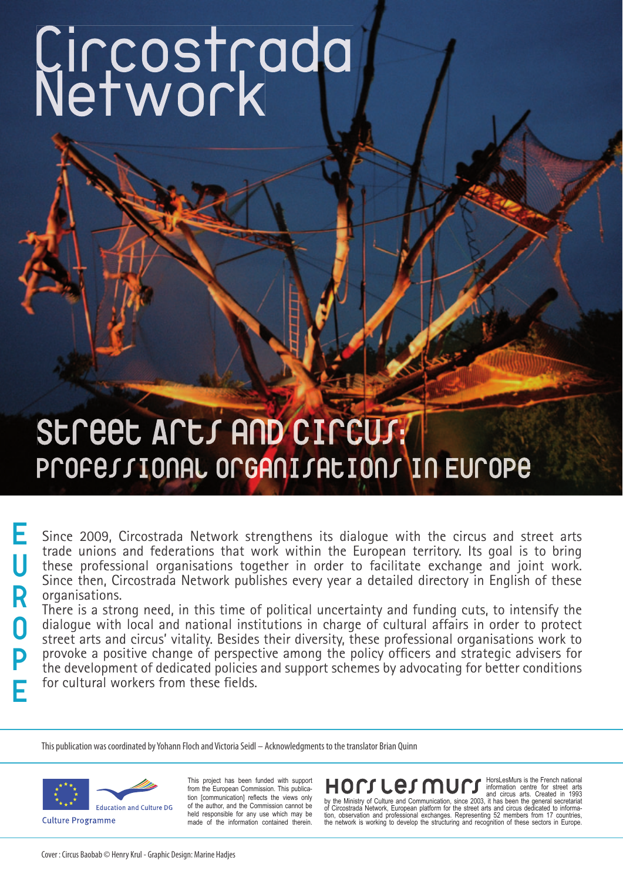# **Circostrada Network**

### **Street Arts and Circus: Professional organisations in Europe**

Since 2009, Circostrada Network strengthens its dialogue with the circus and street arts trade unions and federations that work within the European territory. Its goal is to bring these professional organisations together in order to facilitate exchange and joint work. Since then, Circostrada Network publishes every year a detailed directory in English of these organisations.

There is a strong need, in this time of political uncertainty and funding cuts, to intensify the dialogue with local and national institutions in charge of cultural affairs in order to protect street arts and circus' vitality. Besides their diversity, these professional organisations work to provoke a positive change of perspective among the policy officers and strategic advisers for the development of dedicated policies and support schemes by advocating for better conditions for cultural workers from these fields.

This publication was coordinated by Yohann Floch and Victoria Seidl – Acknowledgments to the translator Brian Quinn



**E**

**U**

**R**

**O**

**P**

**E**

This project has been funded with support from the European Commission. This publication [communication] reflects the views only of the author, and the Commission cannot be held responsible for any use which may be made of the information contained therein.

**EXECUTE:** CONTROLLED TO THOTSLESMurs is the French national<br>and circus arts. Created in 1993<br>of Circostrada Network, European platform for the street arts and circus arts. Created in 1993<br>of Circostrada Network, European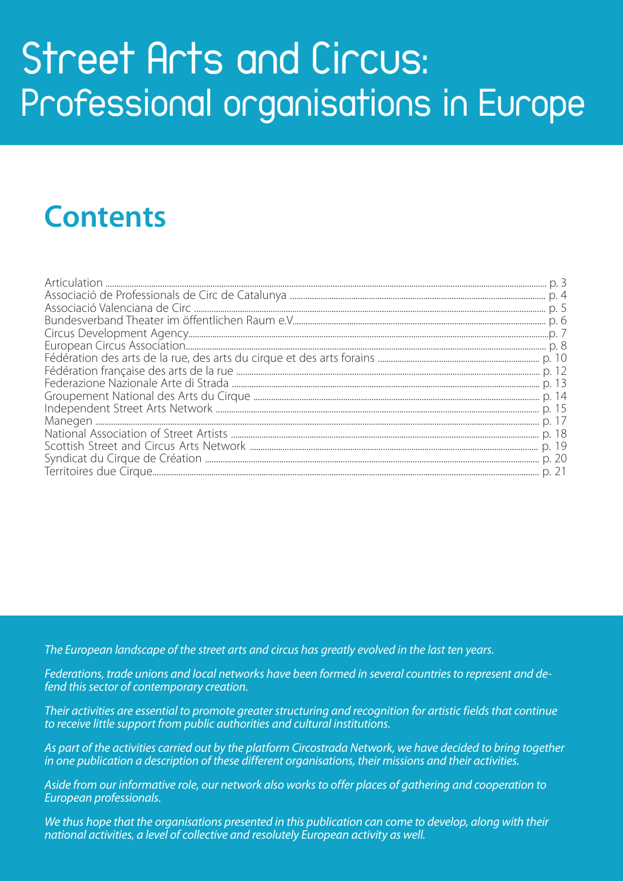### **Street Arts and Circus: Professional organisations in Europe**

### **Contents**

*The European landscape of the street arts and circus has greatly evolved in the last ten years.*

*Federations, trade unions and local networks have been formed in several countries to represent and defend this sector of contemporary creation.*

*Their activities are essential to promote greater structuring and recognition for artistic fields that continue to receive little support from public authorities and cultural institutions.*

*As part of the activities carried out by the platform Circostrada Network, we have decided to bring together in one publication a description of these different organisations, their missions and their activities.*

*Aside from our informative role, our network also works to offer places of gathering and cooperation to European professionals.*

*We thus hope that the organisations presented in this publication can come to develop, along with their national activities, a level of collective and resolutely European activity as well.*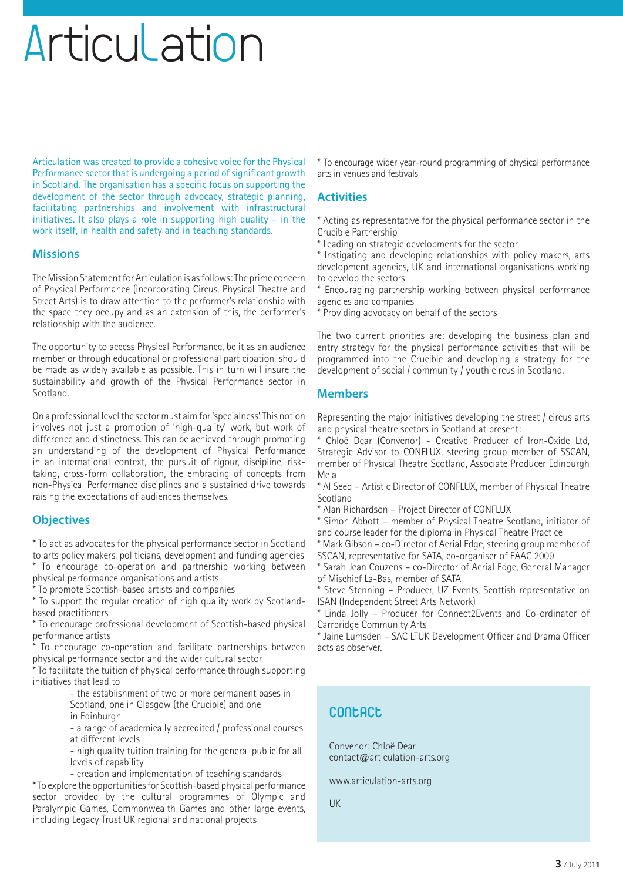### Articulation

Articulation was created to provide a cohesive voice for the Physical Performance sector that is undergoing a period of significant growth in Scotland. The organisation has a specific focus on supporting the development of the sector through advocacy, strategic planning, facilitating partnerships and involvement with infrastructural initiatives. It also plays a role in supporting high quality – in the work itself, in health and safety and in teaching standards.

#### **Missions**

The Mission Statement for Articulation is as follows: The prime concern of Physical Performance (incorporating Circus, Physical Theatre and Street Arts) is to draw attention to the performer's relationship with the space they occupy and as an extension of this, the performer's relationship with the audience.

The opportunity to access Physical Performance, be it as an audience member or through educational or professional participation, should be made as widely available as possible. This in turn will insure the sustainability and growth of the Physical Performance sector in Scotland.

On a professional level the sector must aim for 'specialness'. This notion involves not just a promotion of 'high-quality' work, but work of difference and distinctness. This can be achieved through promoting an understanding of the development of Physical Performance in an international context, the pursuit of rigour, discipline, risktaking, cross-form collaboration, the embracing of concepts from non-Physical Performance disciplines and a sustained drive towards raising the expectations of audiences themselves.

#### **Objectives**

\* To act as advocates for the physical performance sector in Scotland to arts policy makers, politicians, development and funding agencies \* To encourage co-operation and partnership working between physical performance organisations and artists

\* To promote Scottish-based artists and companies

\* To support the regular creation of high quality work by Scotlandbased practitioners

\* To encourage professional development of Scottish-based physical performance artists

To encourage co-operation and facilitate partnerships between physical performance sector and the wider cultural sector

\* To facilitate the tuition of physical performance through supporting initiatives that lead to

- the establishment of two or more permanent bases in Scotland, one in Glasgow (the Crucible) and one

 in Edinburgh - a range of academically accredited / professional courses at different levels

- high quality tuition training for the general public for all levels of capability

- creation and implementation of teaching standards \* To explore the opportunities for Scottish-based physical performance sector provided by the cultural programmes of Olympic and Paralympic Games, Commonwealth Games and other large events, including Legacy Trust UK regional and national projects

\* To encourage wider year-round programming of physical performance arts in venues and festivals

#### **Activities**

\* Acting as representative for the physical performance sector in the Crucible Partnership

\* Leading on strategic developments for the sector

\* Instigating and developing relationships with policy makers, arts development agencies, UK and international organisations working to develop the sectors

Encouraging partnership working between physical performance agencies and companies

\* Providing advocacy on behalf of the sectors

The two current priorities are: developing the business plan and entry strategy for the physical performance activities that will be programmed into the Crucible and developing a strategy for the development of social / community / youth circus in Scotland.

#### **Members**

Representing the major initiatives developing the street / circus arts and physical theatre sectors in Scotland at present:

\* Chloë Dear (Convenor) - Creative Producer of Iron-Oxide Ltd, Strategic Advisor to CONFLUX, steering group member of SSCAN, member of Physical Theatre Scotland, Associate Producer Edinburgh Mela

\* Al Seed – Artistic Director of CONFLUX, member of Physical Theatre **Scotland** 

\* Alan Richardson – Project Director of CONFLUX

\* Simon Abbott – member of Physical Theatre Scotland, initiator of and course leader for the diploma in Physical Theatre Practice

\* Mark Gibson – co-Director of Aerial Edge, steering group member of SSCAN, representative for SATA, co-organiser of EAAC 2009

\* Sarah Jean Couzens – co-Director of Aerial Edge, General Manager of Mischief La-Bas, member of SATA

\* Steve Stenning – Producer, UZ Events, Scottish representative on ISAN (Independent Street Arts Network)

\* Linda Jolly – Producer for Connect2Events and Co-ordinator of Carrbridge Community Arts

\* Jaine Lumsden – SAC LTUK Development Officer and Drama Officer acts as observer.

#### **Contact**

Convenor: Chloë Dear contact@articulation-arts.org

www.articulation-arts.org

UK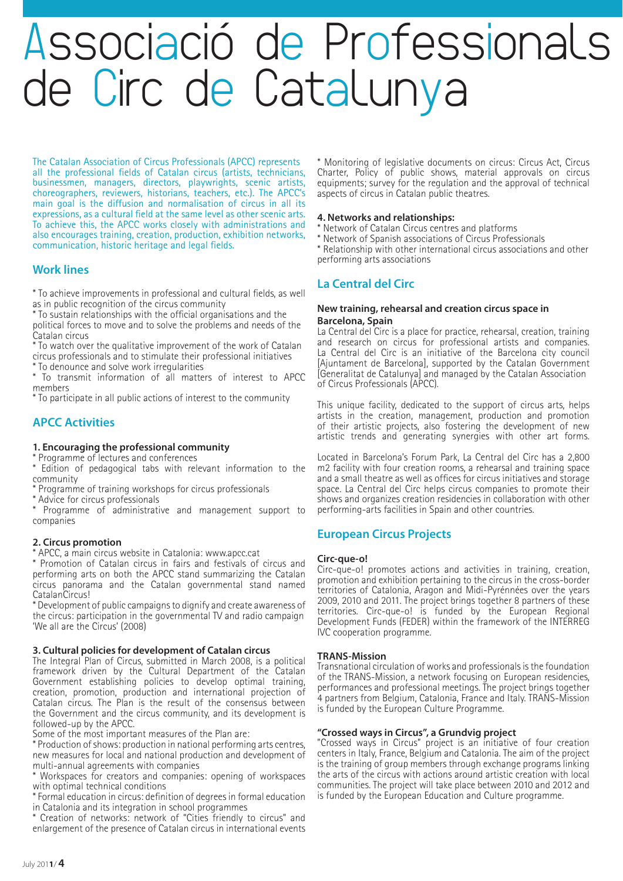### Associació de Professionals de Circ de Catalunya

The Catalan Association of Circus Professionals (APCC) represents all the professional fields of Catalan circus (artists, technicians, businessmen, managers, directors, playwrights, scenic artists, choreographers, reviewers, historians, teachers, etc.). The APCC's main goal is the diffusion and normalisation of circus in all its expressions, as a cultural field at the same level as other scenic arts. To achieve this, the APCC works closely with administrations and also encourages training, creation, production, exhibition networks, communication, historic heritage and legal fields.

#### **Work lines**

\* To achieve improvements in professional and cultural fields, as well as in public recognition of the circus community

\* To sustain relationships with the official organisations and the political forces to move and to solve the problems and needs of the Catalan circus

\* To watch over the qualitative improvement of the work of Catalan circus professionals and to stimulate their professional initiatives

\* To denounce and solve work irregularities

\* To transmit information of all matters of interest to APCC members

\* To participate in all public actions of interest to the community

#### **APCC Activities**

**1. Encouraging the professional community**

\* Programme of lectures and conferences

\* Edition of pedagogical tabs with relevant information to the community

\* Programme of training workshops for circus professionals

\* Advice for circus professionals

\* Programme of administrative and management support to companies

#### **2. Circus promotion**

\* APCC, a main circus website in Catalonia: www.apcc.cat

\* Promotion of Catalan circus in fairs and festivals of circus and performing arts on both the APCC stand summarizing the Catalan circus panorama and the Catalan governmental stand named CatalanCircus!

\* Development of public campaigns to dignify and create awareness of the circus: participation in the governmental TV and radio campaign 'We all are the Circus' (2008)

#### **3. Cultural policies for development of Catalan circus**

The Integral Plan of Circus, submitted in March 2008, is a political framework driven by the Cultural Department of the Catalan Government establishing policies to develop optimal training, creation, promotion, production and international projection of Catalan circus. The Plan is the result of the consensus between the Government and the circus community, and its development is followed-up by the APCC.

Some of the most important measures of the Plan are:

\* Production of shows: production in national performing arts centres, new measures for local and national production and development of multi-annual agreements with companies

\* Workspaces for creators and companies: opening of workspaces with optimal technical conditions

\* Formal education in circus: definition of degrees in formal education in Catalonia and its integration in school programmes

Creation of networks: network of "Cities friendly to circus" and enlargement of the presence of Catalan circus in international events \* Monitoring of legislative documents on circus: Circus Act, Circus Charter, Policy of public shows, material approvals on circus equipments; survey for the regulation and the approval of technical aspects of circus in Catalan public theatres.

#### **4. Networks and relationships:**

- \* Network of Catalan Circus centres and platforms
- \* Network of Spanish associations of Circus Professionals

\* Relationship with other international circus associations and other performing arts associations

#### **La Central del Circ**

#### **New training, rehearsal and creation circus space in Barcelona, Spain**

La Central del Circ is a place for practice, rehearsal, creation, training and research on circus for professional artists and companies. La Central del Circ is an initiative of the Barcelona city council [Ajuntament de Barcelona], supported by the Catalan Government [Generalitat de Catalunya] and managed by the Catalan Association of Circus Professionals (APCC).

This unique facility, dedicated to the support of circus arts, helps artists in the creation, management, production and promotion of their artistic projects, also fostering the development of new artistic trends and generating synergies with other art forms.

Located in Barcelona's Forum Park, La Central del Circ has a 2,800 m2 facility with four creation rooms, a rehearsal and training space and a small theatre as well as offices for circus initiatives and storage space. La Central del Circ helps circus companies to promote their shows and organizes creation residencies in collaboration with other performing-arts facilities in Spain and other countries.

#### **European Circus Projects**

#### **Circ-que-o!**

Circ-que-o! promotes actions and activities in training, creation, promotion and exhibition pertaining to the circus in the cross-border territories of Catalonia, Aragon and Midi-Pyrénnées over the years 2009, 2010 and 2011. The project brings together 8 partners of these territories. Circ-que-o! is funded by the European Regional Development Funds (FEDER) within the framework of the INTERREG IVC cooperation programme.

#### **TRANS-Mission**

Transnational circulation of works and professionals is the foundation of the TRANS-Mission, a network focusing on European residencies, performances and professional meetings. The project brings together 4 partners from Belgium, Catalonia, France and Italy. TRANS-Mission is funded by the European Culture Programme.

#### **"Crossed ways in Circus", a Grundvig project**

"Crossed ways in Circus" project is an initiative of four creation centers in Italy, France, Belgium and Catalonia. The aim of the project is the training of group members through exchange programs linking the arts of the circus with actions around artistic creation with local communities. The project will take place between 2010 and 2012 and is funded by the European Education and Culture programme.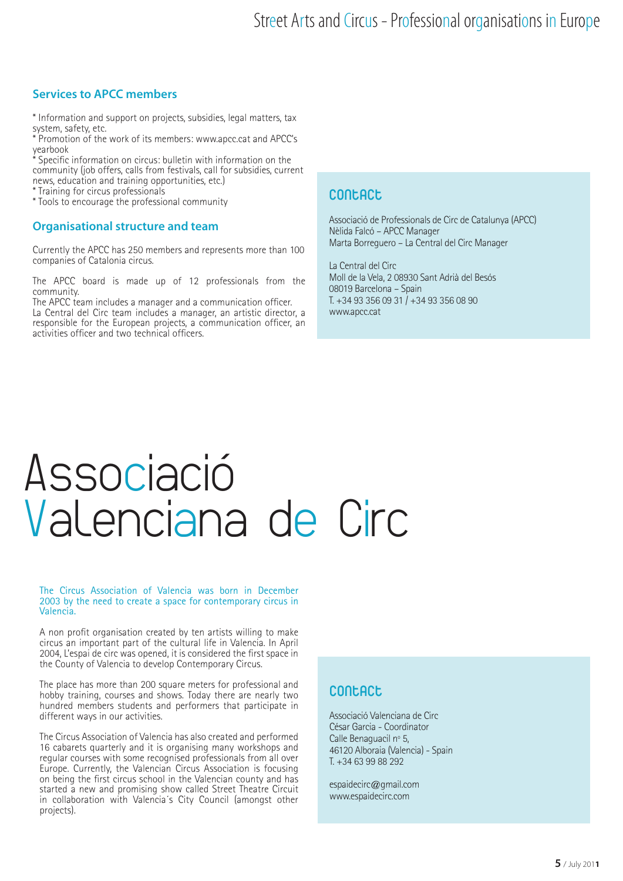#### **Services to APCC members**

\* Information and support on projects, subsidies, legal matters, tax system, safety, etc.

\* Promotion of the work of its members: www.apcc.cat and APCC's yearbook

Specific information on circus: bulletin with information on the community (job offers, calls from festivals, call for subsidies, current news, education and training opportunities, etc.)

\* Training for circus professionals

\* Tools to encourage the professional community

#### **Organisational structure and team**

Currently the APCC has 250 members and represents more than 100 companies of Catalonia circus.

The APCC board is made up of 12 professionals from the community.

The APCC team includes a manager and a communication officer. La Central del Circ team includes a manager, an artistic director, a responsible for the European projects, a communication officer, an activities officer and two technical officers.

#### **Contact**

Associació de Professionals de Circ de Catalunya (APCC) Nèlida Falcó – APCC Manager Marta Borreguero – La Central del Circ Manager

La Central del Circ Moll de la Vela, 2 08930 Sant Adrià del Besós 08019 Barcelona – Spain T. +34 93 356 09 31 / +34 93 356 08 90 www.apcc.cat

### Associació Valenciana de Circ

#### The Circus Association of Valencia was born in December 2003 by the need to create a space for contemporary circus in Valencia.

A non profit organisation created by ten artists willing to make circus an important part of the cultural life in Valencia. In April 2004, L'espai de circ was opened, it is considered the first space in the County of Valencia to develop Contemporary Circus.

The place has more than 200 square meters for professional and hobby training, courses and shows. Today there are nearly two hundred members students and performers that participate in different ways in our activities.

The Circus Association of Valencia has also created and performed 16 cabarets quarterly and it is organising many workshops and regular courses with some recognised professionals from all over Europe. Currently, the Valencian Circus Association is focusing on being the first circus school in the Valencian county and has started a new and promising show called Street Theatre Circuit in collaboration with Valencia´s City Council (amongst other projects).

#### **Contact**

Associació Valenciana de Circ César Garcia - Coordinator Calle Benaguacil nº 5, 46120 Alboraia (Valencia) - Spain T. +34 63 99 88 292

espaidecirc@gmail.com www.espaidecirc.com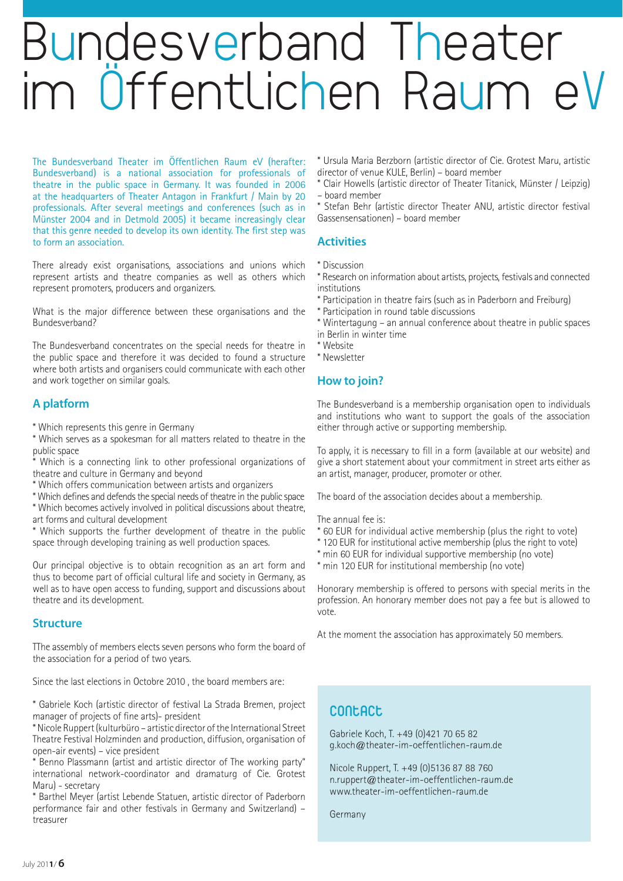### Bundesverband Theater im Öffentlichen Raum eV

The Bundesverband Theater im Öffentlichen Raum eV (herafter: Bundesverband) is a national association for professionals of theatre in the public space in Germany. It was founded in 2006 at the headquarters of Theater Antagon in Frankfurt / Main by 20 professionals. After several meetings and conferences (such as in Münster 2004 and in Detmold 2005) it became increasingly clear that this genre needed to develop its own identity. The first step was to form an association.

There already exist organisations, associations and unions which represent artists and theatre companies as well as others which represent promoters, producers and organizers.

What is the major difference between these organisations and the Bundesverband?

The Bundesverband concentrates on the special needs for theatre in the public space and therefore it was decided to found a structure where both artists and organisers could communicate with each other and work together on similar goals.

#### **A platform**

\* Which represents this genre in Germany

\* Which serves as a spokesman for all matters related to theatre in the public space

- Which is a connecting link to other professional organizations of theatre and culture in Germany and beyond
- \* Which offers communication between artists and organizers

\* Which defines and defends the special needs of theatre in the public space

\* Which becomes actively involved in political discussions about theatre, art forms and cultural development

\* Which supports the further development of theatre in the public space through developing training as well production spaces.

Our principal objective is to obtain recognition as an art form and thus to become part of official cultural life and society in Germany, as well as to have open access to funding, support and discussions about theatre and its development.

#### **Structure**

The assembly of members elects seven persons who form the board of the association for a period of two years.

Since the last elections in Octobre 2010 , the board members are:

\* Gabriele Koch (artistic director of festival La Strada Bremen, project manager of projects of fine arts)- president

\* Nicole Ruppert (kulturbüro – artistic director of the International Street Theatre Festival Holzminden and production, diffusion, organisation of open-air events) – vice president

\* Benno Plassmann (artist and artistic director of The working party" international network-coordinator and dramaturg of Cie. Grotest Maru) - secretary

\* Barthel Meyer (artist Lebende Statuen, artistic director of Paderborn performance fair and other festivals in Germany and Switzerland) – treasurer

\* Ursula Maria Berzborn (artistic director of Cie. Grotest Maru, artistic director of venue KULE, Berlin) – board member

\* Clair Howells (artistic director of Theater Titanick, Münster / Leipzig) – board member

\* Stefan Behr (artistic director Theater ANU, artistic director festival Gassensensationen) – board member

#### **Activities**

\* Discussion

\* Research on information about artists, projects, festivals and connected institutions

- \* Participation in theatre fairs (such as in Paderborn and Freiburg)
- \* Participation in round table discussions
- \* Wintertagung an annual conference about theatre in public spaces in Berlin in winter time
- \* Website
- \* Newsletter

#### **How to join?**

The Bundesverband is a membership organisation open to individuals and institutions who want to support the goals of the association either through active or supporting membership.

To apply, it is necessary to fill in a form (available at our website) and give a short statement about your commitment in street arts either as an artist, manager, producer, promoter or other.

The board of the association decides about a membership.

The annual fee is:

- \* 60 EUR for individual active membership (plus the right to vote)
- \* 120 EUR for institutional active membership (plus the right to vote)
- \* min 60 EUR for individual supportive membership (no vote)
- \* min 120 EUR for institutional membership (no vote)

Honorary membership is offered to persons with special merits in the profession. An honorary member does not pay a fee but is allowed to vote.

At the moment the association has approximately 50 members.

#### **Contact**

Gabriele Koch, T. +49 (0)421 70 65 82 g.koch@theater-im-oeffentlichen-raum.de

Nicole Ruppert, T. +49 (0)5136 87 88 760 n.ruppert@theater-im-oeffentlichen-raum.de www.theater-im-oeffentlichen-raum.de

Germany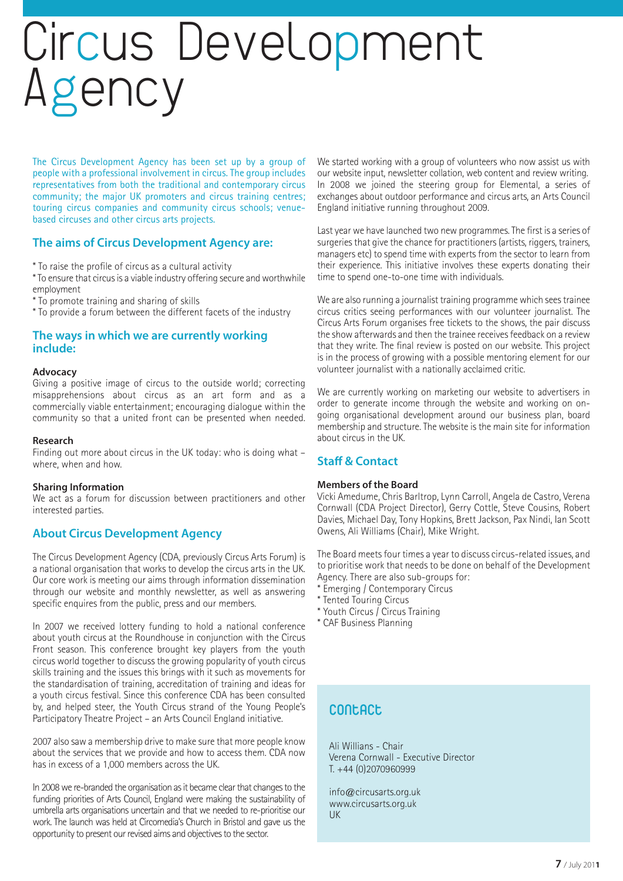### Circus Development Agency

The Circus Development Agency has been set up by a group of people with a professional involvement in circus. The group includes representatives from both the traditional and contemporary circus community; the major UK promoters and circus training centres; touring circus companies and community circus schools; venuebased circuses and other circus arts projects.

#### **The aims of Circus Development Agency are:**

- \* To raise the profile of circus as a cultural activity
- \* To ensure that circus is a viable industry offering secure and worthwhile employment
- \* To promote training and sharing of skills
- \* To provide a forum between the different facets of the industry

#### **The ways in which we are currently working include:**

#### **Advocacy**

Giving a positive image of circus to the outside world; correcting misapprehensions about circus as an art form and as a commercially viable entertainment; encouraging dialogue within the community so that a united front can be presented when needed.

#### **Research**

Finding out more about circus in the UK today: who is doing what – where, when and how.

#### **Sharing Information**

We act as a forum for discussion between practitioners and other interested parties.

#### **About Circus Development Agency**

The Circus Development Agency (CDA, previously Circus Arts Forum) is a national organisation that works to develop the circus arts in the UK. Our core work is meeting our aims through information dissemination through our website and monthly newsletter, as well as answering specific enquires from the public, press and our members.

In 2007 we received lottery funding to hold a national conference about youth circus at the Roundhouse in conjunction with the Circus Front season. This conference brought key players from the youth circus world together to discuss the growing popularity of youth circus skills training and the issues this brings with it such as movements for the standardisation of training, accreditation of training and ideas for a youth circus festival. Since this conference CDA has been consulted by, and helped steer, the Youth Circus strand of the Young People's Participatory Theatre Project – an Arts Council England initiative.

2007 also saw a membership drive to make sure that more people know about the services that we provide and how to access them. CDA now has in excess of a 1,000 members across the UK.

In 2008 we re-branded the organisation as it became clear that changes to the funding priorities of Arts Council, England were making the sustainability of umbrella arts organisations uncertain and that we needed to re-prioritise our work. The launch was held at Circomedia's Church in Bristol and gave us the opportunity to present our revised aims and objectives to the sector.

We started working with a group of volunteers who now assist us with our website input, newsletter collation, web content and review writing. In 2008 we joined the steering group for Elemental, a series of exchanges about outdoor performance and circus arts, an Arts Council England initiative running throughout 2009.

Last year we have launched two new programmes. The first is a series of surgeries that give the chance for practitioners (artists, riggers, trainers, managers etc) to spend time with experts from the sector to learn from their experience. This initiative involves these experts donating their time to spend one-to-one time with individuals.

We are also running a journalist training programme which sees trainee circus critics seeing performances with our volunteer journalist. The Circus Arts Forum organises free tickets to the shows, the pair discuss the show afterwards and then the trainee receives feedback on a review that they write. The final review is posted on our website. This project is in the process of growing with a possible mentoring element for our volunteer journalist with a nationally acclaimed critic.

We are currently working on marketing our website to advertisers in order to generate income through the website and working on ongoing organisational development around our business plan, board membership and structure. The website is the main site for information about circus in the UK.

#### **Staff & Contact**

#### **Members of the Board**

Vicki Amedume, Chris Barltrop, Lynn Carroll, Angela de Castro, Verena Cornwall (CDA Project Director), Gerry Cottle, Steve Cousins, Robert Davies, Michael Day, Tony Hopkins, Brett Jackson, Pax Nindi, Ian Scott Owens, Ali Williams (Chair), Mike Wright.

The Board meets four times a year to discuss circus-related issues, and to prioritise work that needs to be done on behalf of the Development Agency. There are also sub-groups for:

- \* Emerging / Contemporary Circus
- \* Tented Touring Circus
- \* Youth Circus  $\overline{I}$  Circus Training
- \* CAF Business Planning

#### **Contact**

Ali Willians - Chair Verena Cornwall - Executive Director T. +44 (0)2070960999

info@circusarts.org.uk www.circusarts.org.uk UK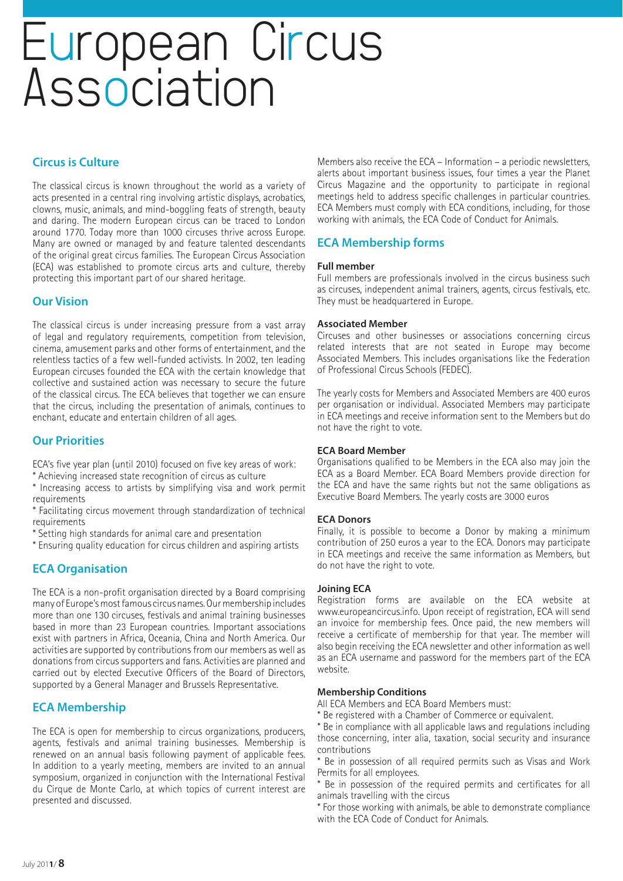### European Circus Association

#### **Circus is Culture**

The classical circus is known throughout the world as a variety of acts presented in a central ring involving artistic displays, acrobatics, clowns, music, animals, and mind-boggling feats of strength, beauty and daring. The modern European circus can be traced to London around 1770. Today more than 1000 circuses thrive across Europe. Many are owned or managed by and feature talented descendants of the original great circus families. The European Circus Association (ECA) was established to promote circus arts and culture, thereby protecting this important part of our shared heritage.

#### **Our Vision**

The classical circus is under increasing pressure from a vast array of legal and regulatory requirements, competition from television, cinema, amusement parks and other forms of entertainment, and the relentless tactics of a few well-funded activists. In 2002, ten leading European circuses founded the ECA with the certain knowledge that collective and sustained action was necessary to secure the future of the classical circus. The ECA believes that together we can ensure that the circus, including the presentation of animals, continues to enchant, educate and entertain children of all ages.

#### **Our Priorities**

ECA's five year plan (until 2010) focused on five key areas of work: \* Achieving increased state recognition of circus as culture

\* Increasing access to artists by simplifying visa and work permit

requirements

\* Facilitating circus movement through standardization of technical requirements

\* Setting high standards for animal care and presentation

\* Ensuring quality education for circus children and aspiring artists

#### **ECA Organisation**

The ECA is a non-profit organisation directed by a Board comprising many of Europe's most famous circus names. Our membership includes more than one 130 circuses, festivals and animal training businesses based in more than 23 European countries. Important associations exist with partners in Africa, Oceania, China and North America. Our activities are supported by contributions from our members as well as donations from circus supporters and fans. Activities are planned and carried out by elected Executive Officers of the Board of Directors, supported by a General Manager and Brussels Representative.

#### **ECA Membership**

The ECA is open for membership to circus organizations, producers, agents, festivals and animal training businesses. Membership is renewed on an annual basis following payment of applicable fees. In addition to a yearly meeting, members are invited to an annual symposium, organized in conjunction with the International Festival du Cirque de Monte Carlo, at which topics of current interest are presented and discussed.

Members also receive the ECA – Information – a periodic newsletters, alerts about important business issues, four times a year the Planet Circus Magazine and the opportunity to participate in regional meetings held to address specific challenges in particular countries. ECA Members must comply with ECA conditions, including, for those working with animals, the ECA Code of Conduct for Animals.

#### **ECA Membership forms**

#### **Full member**

Full members are professionals involved in the circus business such as circuses, independent animal trainers, agents, circus festivals, etc. They must be headquartered in Europe.

#### **Associated Member**

Circuses and other businesses or associations concerning circus related interests that are not seated in Europe may become Associated Members. This includes organisations like the Federation of Professional Circus Schools (FEDEC).

The yearly costs for Members and Associated Members are 400 euros per organisation or individual. Associated Members may participate in ECA meetings and receive information sent to the Members but do not have the right to vote.

#### **ECA Board Member**

Organisations qualified to be Members in the ECA also may join the ECA as a Board Member. ECA Board Members provide direction for the ECA and have the same rights but not the same obligations as Executive Board Members. The yearly costs are 3000 euros

#### **ECA Donors**

Finally, it is possible to become a Donor by making a minimum contribution of 250 euros a year to the ECA. Donors may participate in ECA meetings and receive the same information as Members, but do not have the right to vote.

#### **Joining ECA**

Registration forms are available on the ECA website at www.europeancircus.info. Upon receipt of registration, ECA will send an invoice for membership fees. Once paid, the new members will receive a certificate of membership for that year. The member will also begin receiving the ECA newsletter and other information as well as an ECA username and password for the members part of the ECA website.

#### **Membership Conditions**

All ECA Members and ECA Board Members must:

\* Be registered with a Chamber of Commerce or equivalent.

\* Be in compliance with all applicable laws and regulations including those concerning, inter alia, taxation, social security and insurance contributions

\* Be in possession of all required permits such as Visas and Work Permits for all employees.

\* Be in possession of the required permits and certificates for all animals travelling with the circus

\* For those working with animals, be able to demonstrate compliance with the ECA Code of Conduct for Animals.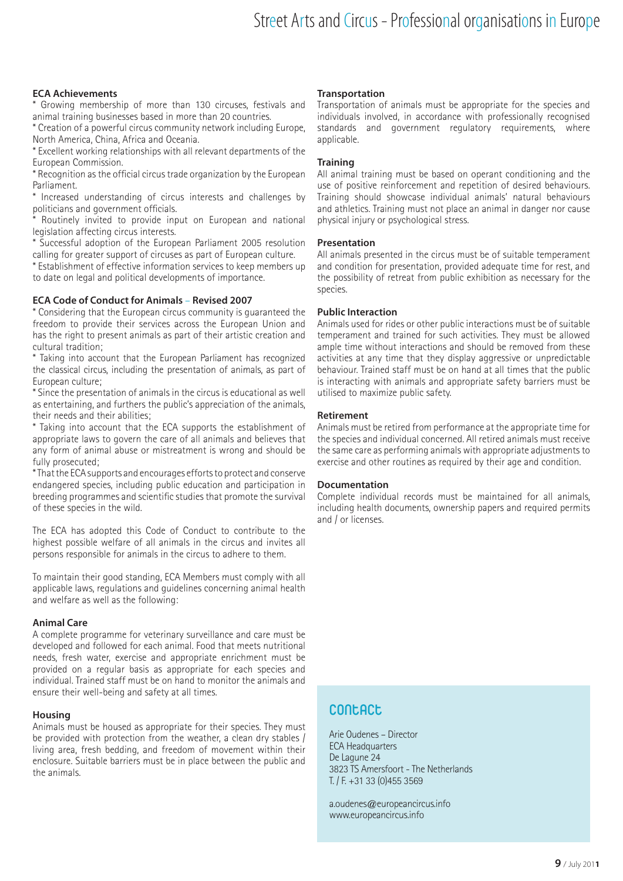#### **ECA Achievements**

Growing membership of more than 130 circuses, festivals and animal training businesses based in more than 20 countries.

\* Creation of a powerful circus community network including Europe, North America, China, Africa and Oceania.

\* Excellent working relationships with all relevant departments of the European Commission.

\* Recognition as the official circus trade organization by the European Parliament.

\* Increased understanding of circus interests and challenges by politicians and government officials.

Routinely invited to provide input on European and national legislation affecting circus interests.

\* Successful adoption of the European Parliament 2005 resolution calling for greater support of circuses as part of European culture.

\* Establishment of effective information services to keep members up to date on legal and political developments of importance.

#### **ECA Code of Conduct for Animals** – **Revised 2007**

\* Considering that the European circus community is guaranteed the freedom to provide their services across the European Union and has the right to present animals as part of their artistic creation and cultural tradition;

\* Taking into account that the European Parliament has recognized the classical circus, including the presentation of animals, as part of European culture;

\* Since the presentation of animals in the circus is educational as well as entertaining, and furthers the public's appreciation of the animals, their needs and their abilities;

\* Taking into account that the ECA supports the establishment of appropriate laws to govern the care of all animals and believes that any form of animal abuse or mistreatment is wrong and should be fully prosecuted;

\* That the ECA supports and encourages efforts to protect and conserve endangered species, including public education and participation in breeding programmes and scientific studies that promote the survival of these species in the wild.

The ECA has adopted this Code of Conduct to contribute to the highest possible welfare of all animals in the circus and invites all persons responsible for animals in the circus to adhere to them.

To maintain their good standing, ECA Members must comply with all applicable laws, regulations and guidelines concerning animal health and welfare as well as the following:

#### **Animal Care**

A complete programme for veterinary surveillance and care must be developed and followed for each animal. Food that meets nutritional needs, fresh water, exercise and appropriate enrichment must be provided on a regular basis as appropriate for each species and individual. Trained staff must be on hand to monitor the animals and ensure their well-being and safety at all times.

#### **Housing**

Animals must be housed as appropriate for their species. They must be provided with protection from the weather, a clean dry stables / living area, fresh bedding, and freedom of movement within their enclosure. Suitable barriers must be in place between the public and the animals.

#### **Transportation**

Transportation of animals must be appropriate for the species and individuals involved, in accordance with professionally recognised standards and government regulatory requirements, where applicable.

#### **Training**

All animal training must be based on operant conditioning and the use of positive reinforcement and repetition of desired behaviours. Training should showcase individual animals' natural behaviours and athletics. Training must not place an animal in danger nor cause physical injury or psychological stress.

#### **Presentation**

All animals presented in the circus must be of suitable temperament and condition for presentation, provided adequate time for rest, and the possibility of retreat from public exhibition as necessary for the species.

#### **Public Interaction**

Animals used for rides or other public interactions must be of suitable temperament and trained for such activities. They must be allowed ample time without interactions and should be removed from these activities at any time that they display aggressive or unpredictable behaviour. Trained staff must be on hand at all times that the public is interacting with animals and appropriate safety barriers must be utilised to maximize public safety.

#### **Retirement**

Animals must be retired from performance at the appropriate time for the species and individual concerned. All retired animals must receive the same care as performing animals with appropriate adjustments to exercise and other routines as required by their age and condition.

#### **Documentation**

Complete individual records must be maintained for all animals, including health documents, ownership papers and required permits and / or licenses.

#### **Contact**

Arie Oudenes – Director ECA Headquarters De Lagune 24 3823 TS Amersfoort - The Netherlands T. / F. +31 33 (0)455 3569

a.oudenes@europeancircus.info www.europeancircus.info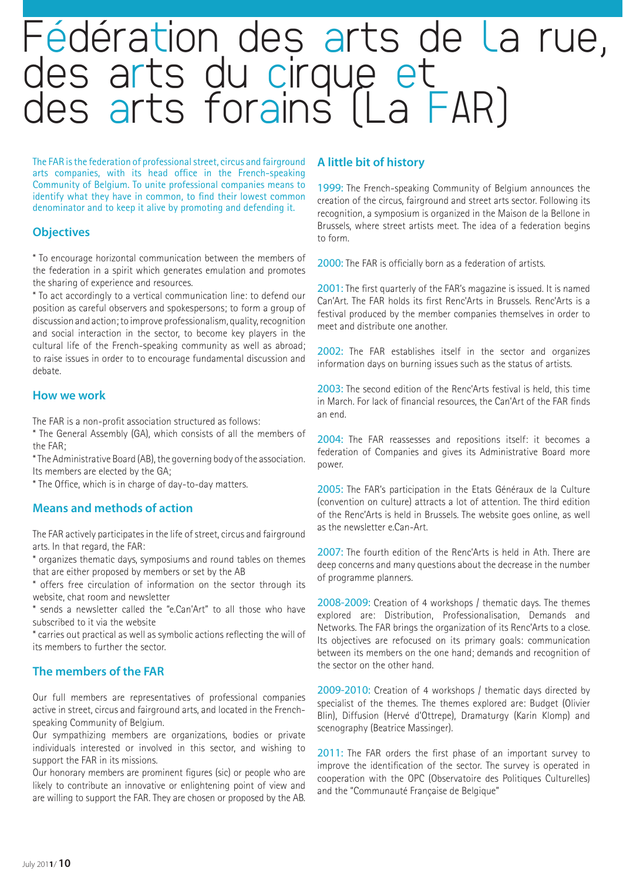## Fédération des arts de la rue,<br>des arts du cirque et des arts forains (La FAR)

The FAR is the federation of professional street, circus and fairground arts companies, with its head office in the French-speaking Community of Belgium. To unite professional companies means to identify what they have in common, to find their lowest common denominator and to keep it alive by promoting and defending it.

#### **Objectives**

\* To encourage horizontal communication between the members of the federation in a spirit which generates emulation and promotes the sharing of experience and resources.

\* To act accordingly to a vertical communication line: to defend our position as careful observers and spokespersons; to form a group of discussion and action; to improve professionalism, quality, recognition and social interaction in the sector, to become key players in the cultural life of the French-speaking community as well as abroad; to raise issues in order to to encourage fundamental discussion and debate.

#### **How we work**

The FAR is a non-profit association structured as follows:

\* The General Assembly (GA), which consists of all the members of the FAR;

\* The Administrative Board (AB), the governing body of the association. Its members are elected by the GA;

\* The Office, which is in charge of day-to-day matters.

#### **Means and methods of action**

The FAR actively participates in the life of street, circus and fairground arts. In that regard, the FAR:

\* organizes thematic days, symposiums and round tables on themes that are either proposed by members or set by the AB

\* offers free circulation of information on the sector through its website, chat room and newsletter

\* sends a newsletter called the "e.Can'Art" to all those who have subscribed to it via the website

\* carries out practical as well as symbolic actions reflecting the will of its members to further the sector.

#### **The members of the FAR**

Our full members are representatives of professional companies active in street, circus and fairground arts, and located in the Frenchspeaking Community of Belgium.

Our sympathizing members are organizations, bodies or private individuals interested or involved in this sector, and wishing to support the FAR in its missions.

Our honorary members are prominent figures (sic) or people who are likely to contribute an innovative or enlightening point of view and are willing to support the FAR. They are chosen or proposed by the AB.

#### **A little bit of history**

1999: The French-speaking Community of Belgium announces the creation of the circus, fairground and street arts sector. Following its recognition, a symposium is organized in the Maison de la Bellone in Brussels, where street artists meet. The idea of a federation begins to form.

2000: The FAR is officially born as a federation of artists.

2001: The first quarterly of the FAR's magazine is issued. It is named Can'Art. The FAR holds its first Renc'Arts in Brussels. Renc'Arts is a festival produced by the member companies themselves in order to meet and distribute one another.

2002: The FAR establishes itself in the sector and organizes information days on burning issues such as the status of artists.

2003: The second edition of the Renc'Arts festival is held, this time in March. For lack of financial resources, the Can'Art of the FAR finds an end.

2004: The FAR reassesses and repositions itself: it becomes a federation of Companies and gives its Administrative Board more power.

2005: The FAR's participation in the Etats Généraux de la Culture (convention on culture) attracts a lot of attention. The third edition of the Renc'Arts is held in Brussels. The website goes online, as well as the newsletter e.Can-Art.

2007: The fourth edition of the Renc'Arts is held in Ath. There are deep concerns and many questions about the decrease in the number of programme planners.

2008-2009: Creation of 4 workshops / thematic days. The themes explored are: Distribution, Professionalisation, Demands and Networks. The FAR brings the organization of its Renc'Arts to a close. Its objectives are refocused on its primary goals: communication between its members on the one hand; demands and recognition of the sector on the other hand.

2009-2010: Creation of 4 workshops / thematic days directed by specialist of the themes. The themes explored are: Budget (Olivier Blin), Diffusion (Hervé d'Ottrepe), Dramaturgy (Karin Klomp) and scenography (Beatrice Massinger).

2011: The FAR orders the first phase of an important survey to improve the identification of the sector. The survey is operated in cooperation with the OPC (Observatoire des Politiques Culturelles) and the "Communauté Française de Belgique"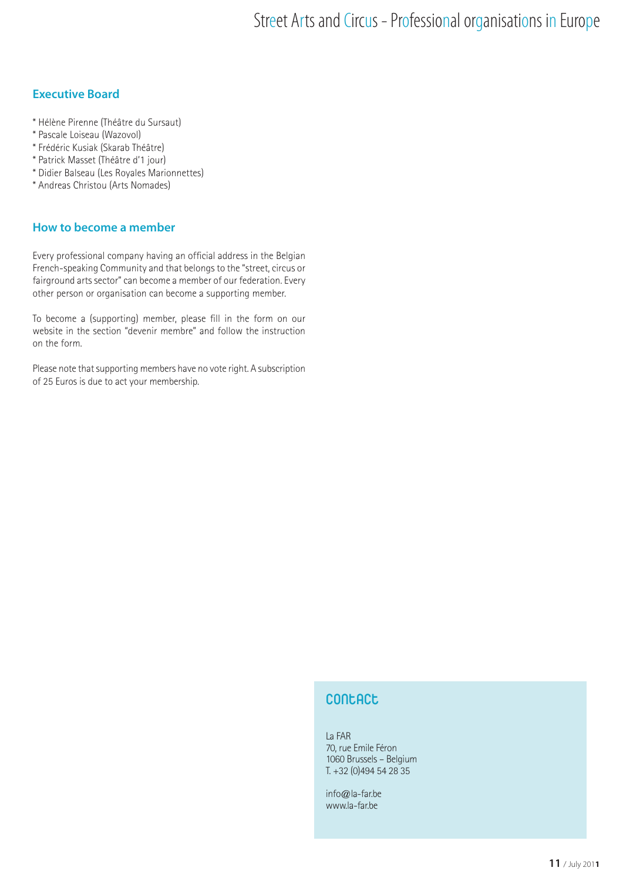#### **Executive Board**

- \* Hélène Pirenne (Théâtre du Sursaut)
- \* Pascale Loiseau (Wazovol)
- \* Frédéric Kusiak (Skarab Théâtre)
- \* Patrick Masset (Théâtre d'1 jour)
- \* Didier Balseau (Les Royales Marionnettes)
- \* Andreas Christou (Arts Nomades)

#### **How to become a member**

Every professional company having an official address in the Belgian French-speaking Community and that belongs to the "street, circus or fairground arts sector" can become a member of our federation. Every other person or organisation can become a supporting member.

To become a (supporting) member, please fill in the form on our website in the section "devenir membre" and follow the instruction on the form.

Please note that supporting members have no vote right. A subscription of 25 Euros is due to act your membership.

#### **Contact**

La FAR 70, rue Emile Féron 1060 Brussels – Belgium T. +32 (0)494 54 28 35

info@la-far.be www.la-far.be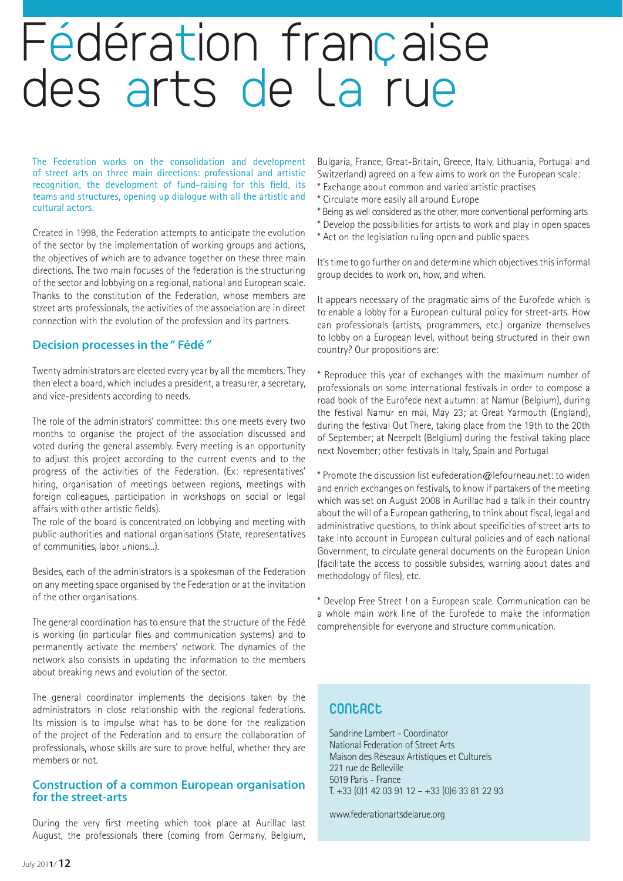### Fédération française des arts de la rue

The Federation works on the consolidation and development of street arts on three main directions: professional and artistic recognition, the development of fund-raising for this field, its teams and structures, opening up dialogue with all the artistic and cultural actors.

Created in 1998, the Federation attempts to anticipate the evolution of the sector by the implementation of working groups and actions, the objectives of which are to advance together on these three main directions. The two main focuses of the federation is the structuring of the sector and lobbying on a regional, national and European scale. Thanks to the constitution of the Federation, whose members are street arts professionals, the activities of the association are in direct connection with the evolution of the profession and its partners.

#### **Decision processes in the " Fédé "**

Twenty administrators are elected every year by all the members. They then elect a board, which includes a president, a treasurer, a secretary, and vice-presidents according to needs.

The role of the administrators' committee: this one meets every two months to organise the project of the association discussed and voted during the general assembly. Every meeting is an opportunity to adjust this project according to the current events and to the progress of the activities of the Federation. (Ex: representatives' hiring, organisation of meetings between regions, meetings with foreign colleagues, participation in workshops on social or legal affairs with other artistic fields).

The role of the board is concentrated on lobbying and meeting with public authorities and national organisations (State, representatives of communities, labor unions...).

Besides, each of the administrators is a spokesman of the Federation on any meeting space organised by the Federation or at the invitation of the other organisations.

The general coordination has to ensure that the structure of the Fédé is working (in particular files and communication systems) and to permanently activate the members' network. The dynamics of the network also consists in updating the information to the members about breaking news and evolution of the sector.

The general coordinator implements the decisions taken by the administrators in close relationship with the regional federations. Its mission is to impulse what has to be done for the realization of the project of the Federation and to ensure the collaboration of professionals, whose skills are sure to prove helful, whether they are members or not.

#### **Construction of a common European organisation for the street-arts**

During the very first meeting which took place at Aurillac last August, the professionals there (coming from Germany, Belgium, Bulgaria, France, Great-Britain, Greece, Italy, Lithuania, Portugal and Switzerland) agreed on a few aims to work on the European scale:

- \* Exchange about common and varied artistic practises
- \* Circulate more easily all around Europe
- \* Being as well considered as the other, more conventional performing arts
- \* Develop the possibilities for artists to work and play in open spaces
- \* Act on the legislation ruling open and public spaces

It's time to go further on and determine which objectives this informal group decides to work on, how, and when.

It appears necessary of the pragmatic aims of the Eurofede which is to enable a lobby for a European cultural policy for street-arts. How can professionals (artists, programmers, etc.) organize themselves to lobby on a European level, without being structured in their own country? Our propositions are:

\* Reproduce this year of exchanges with the maximum number of professionals on some international festivals in order to compose a road book of the Eurofede next autumn: at Namur (Belgium), during the festival Namur en mai, May 23; at Great Yarmouth (England), during the festival Out There, taking place from the 19th to the 20th of September; at Neerpelt (Belgium) during the festival taking place next November; other festivals in Italy, Spain and Portugal

\* Promote the discussion list eufederation@lefourneau.net: to widen and enrich exchanges on festivals, to know if partakers of the meeting which was set on August 2008 in Aurillac had a talk in their country about the will of a European gathering, to think about fiscal, legal and administrative questions, to think about specificities of street arts to take into account in European cultural policies and of each national Government, to circulate general documents on the European Union (facilitate the access to possible subsides, warning about dates and methodology of files), etc.

\* Develop Free Street ! on a European scale. Communication can be a whole main work line of the Eurofede to make the information comprehensible for everyone and structure communication.

#### **Contact**

Sandrine Lambert - Coordinator National Federation of Street Arts Maison des Réseaux Artistiques et Culturels 221 rue de Belleville 5019 Paris - France T. +33 (0)1 42 03 91 12 – +33 (0)6 33 81 22 93

www.federationartsdelarue.org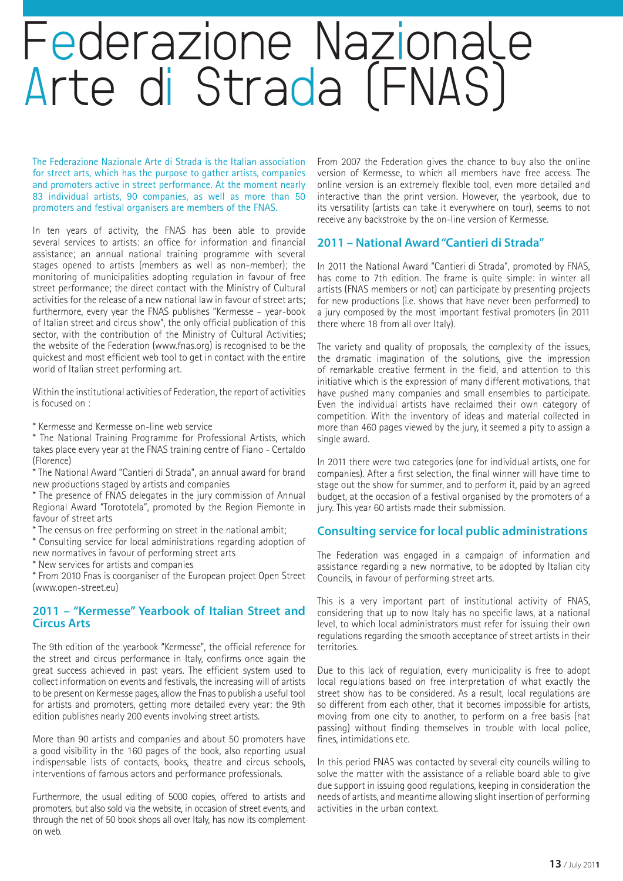### Federazione Nazionale Arte di Strada (FNAS)

The Federazione Nazionale Arte di Strada is the Italian association for street arts, which has the purpose to gather artists, companies and promoters active in street performance. At the moment nearly 83 individual artists, 90 companies, as well as more than 50 promoters and festival organisers are members of the FNAS.

In ten years of activity, the FNAS has been able to provide several services to artists: an office for information and financial assistance; an annual national training programme with several stages opened to artists (members as well as non-member); the monitoring of municipalities adopting regulation in favour of free street performance; the direct contact with the Ministry of Cultural activities for the release of a new national law in favour of street arts; furthermore, every year the FNAS publishes "Kermesse – year-book of Italian street and circus show", the only official publication of this sector, with the contribution of the Ministry of Cultural Activities; the website of the Federation (www.fnas.org) is recognised to be the quickest and most efficient web tool to get in contact with the entire world of Italian street performing art.

Within the institutional activities of Federation, the report of activities is focused on :

\* Kermesse and Kermesse on-line web service

\* The National Training Programme for Professional Artists, which takes place every year at the FNAS training centre of Fiano - Certaldo (Florence)

\* The National Award "Cantieri di Strada", an annual award for brand new productions staged by artists and companies

\* The presence of FNAS delegates in the jury commission of Annual Regional Award "Torototela", promoted by the Region Piemonte in favour of street arts

\* The census on free performing on street in the national ambit;

\* Consulting service for local administrations regarding adoption of new normatives in favour of performing street arts

\* New services for artists and companies

\* From 2010 Fnas is coorganiser of the European project Open Street (www.open-street.eu)

#### **2011 – "Kermesse" Yearbook of Italian Street and Circus Arts**

The 9th edition of the yearbook "Kermesse", the official reference for the street and circus performance in Italy, confirms once again the great success achieved in past years. The efficient system used to collect information on events and festivals, the increasing will of artists to be present on Kermesse pages, allow the Fnas to publish a useful tool for artists and promoters, getting more detailed every year: the 9th edition publishes nearly 200 events involving street artists.

More than 90 artists and companies and about 50 promoters have a good visibility in the 160 pages of the book, also reporting usual indispensable lists of contacts, books, theatre and circus schools, interventions of famous actors and performance professionals.

Furthermore, the usual editing of 5000 copies, offered to artists and promoters, but also sold via the website, in occasion of street events, and through the net of 50 book shops all over Italy, has now its complement on web.

From 2007 the Federation gives the chance to buy also the online version of Kermesse, to which all members have free access. The online version is an extremely flexible tool, even more detailed and interactive than the print version. However, the yearbook, due to its versatility (artists can take it everywhere on tour), seems to not receive any backstroke by the on-line version of Kermesse.

#### **2011 – National Award "Cantieri di Strada"**

In 2011 the National Award "Cantieri di Strada", promoted by FNAS, has come to 7th edition. The frame is quite simple: in winter all artists (FNAS members or not) can participate by presenting projects for new productions (i.e. shows that have never been performed) to a jury composed by the most important festival promoters (in 2011 there where 18 from all over Italy).

The variety and quality of proposals, the complexity of the issues, the dramatic imagination of the solutions, give the impression of remarkable creative ferment in the field, and attention to this initiative which is the expression of many different motivations, that have pushed many companies and small ensembles to participate. Even the individual artists have reclaimed their own category of competition. With the inventory of ideas and material collected in more than 460 pages viewed by the jury, it seemed a pity to assign a single award.

In 2011 there were two categories (one for individual artists, one for companies). After a first selection, the final winner will have time to stage out the show for summer, and to perform it, paid by an agreed budget, at the occasion of a festival organised by the promoters of a jury. This year 60 artists made their submission.

#### **Consulting service for local public administrations**

The Federation was engaged in a campaign of information and assistance regarding a new normative, to be adopted by Italian city Councils, in favour of performing street arts.

This is a very important part of institutional activity of FNAS, considering that up to now Italy has no specific laws, at a national level, to which local administrators must refer for issuing their own regulations regarding the smooth acceptance of street artists in their territories.

Due to this lack of regulation, every municipality is free to adopt local regulations based on free interpretation of what exactly the street show has to be considered. As a result, local regulations are so different from each other, that it becomes impossible for artists, moving from one city to another, to perform on a free basis (hat passing) without finding themselves in trouble with local police, fines, intimidations etc.

In this period FNAS was contacted by several city councils willing to solve the matter with the assistance of a reliable board able to give due support in issuing good regulations, keeping in consideration the needs of artists, and meantime allowing slight insertion of performing activities in the urban context.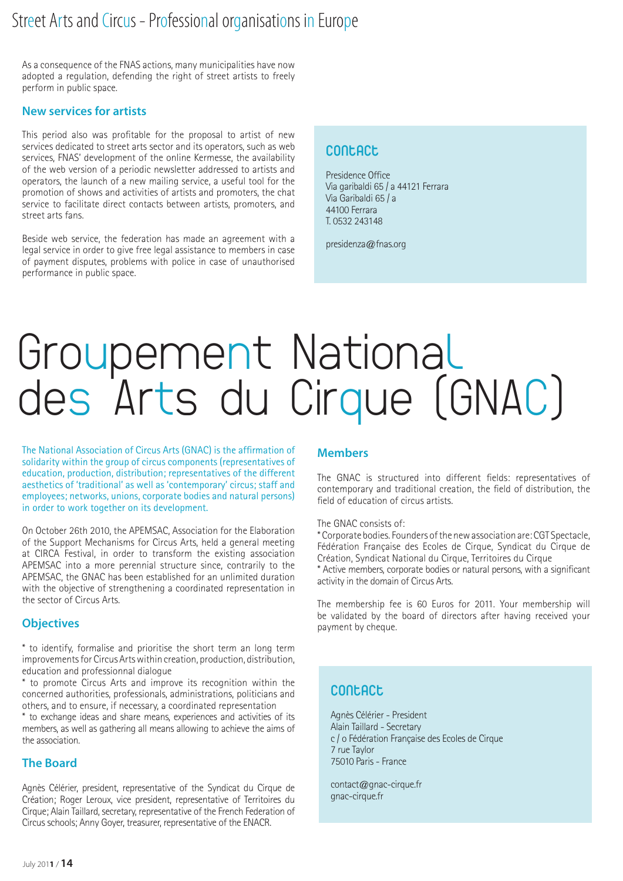#### Street Arts and Circus - Professional organisations in Europe

As a consequence of the FNAS actions, many municipalities have now adopted a regulation, defending the right of street artists to freely perform in public space.

#### **New services for artists**

This period also was profitable for the proposal to artist of new services dedicated to street arts sector and its operators, such as web services, FNAS' development of the online Kermesse, the availability of the web version of a periodic newsletter addressed to artists and operators, the launch of a new mailing service, a useful tool for the promotion of shows and activities of artists and promoters, the chat service to facilitate direct contacts between artists, promoters, and street arts fans.

Beside web service, the federation has made an agreement with a legal service in order to give free legal assistance to members in case of payment disputes, problems with police in case of unauthorised performance in public space.

#### **Contact**

Presidence Office Via garibaldi 65 / a 44121 Ferrara Via Garibaldi 65 / a 44100 Ferrara T. 0532 243148

presidenza@fnas.org

### Groupement National des Arts du Cirque (GNAC)

The National Association of Circus Arts (GNAC) is the affirmation of solidarity within the group of circus components (representatives of education, production, distribution; representatives of the different aesthetics of 'traditional' as well as 'contemporary' circus; staff and employees; networks, unions, corporate bodies and natural persons) in order to work together on its development.

On October 26th 2010, the APEMSAC, Association for the Elaboration of the Support Mechanisms for Circus Arts, held a general meeting at CIRCA Festival, in order to transform the existing association APEMSAC into a more perennial structure since, contrarily to the APEMSAC, the GNAC has been established for an unlimited duration with the objective of strengthening a coordinated representation in the sector of Circus Arts.

#### **Objectives**

\* to identify, formalise and prioritise the short term an long term improvements for Circus Arts within creation, production, distribution, education and professionnal dialogue

\* to promote Circus Arts and improve its recognition within the concerned authorities, professionals, administrations, politicians and others, and to ensure, if necessary, a coordinated representation

\* to exchange ideas and share means, experiences and activities of its members, as well as gathering all means allowing to achieve the aims of the association.

#### **The Board**

Agnès Célérier, president, representative of the Syndicat du Cirque de Création; Roger Leroux, vice president, representative of Territoires du Cirque; Alain Taillard, secretary, representative of the French Federation of Circus schools; Anny Goyer, treasurer, representative of the ENACR.

#### **Members**

The GNAC is structured into different fields: representatives of contemporary and traditional creation, the field of distribution, the field of education of circus artists.

The GNAC consists of:

\* Corporate bodies. Founders of the new association are: CGT Spectacle, Fédération Française des Ecoles de Cirque, Syndicat du Cirque de Création, Syndicat National du Cirque, Territoires du Cirque

\* Active members, corporate bodies or natural persons, with a significant activity in the domain of Circus Arts.

The membership fee is 60 Euros for 2011. Your membership will be validated by the board of directors after having received your payment by cheque.

#### **Contact**

Agnès Célérier - President Alain Taillard - Secretary c / o Fédération Française des Ecoles de Cirque 7 rue Taylor 75010 Paris - France

contact@gnac-cirque.fr gnac-cirque.fr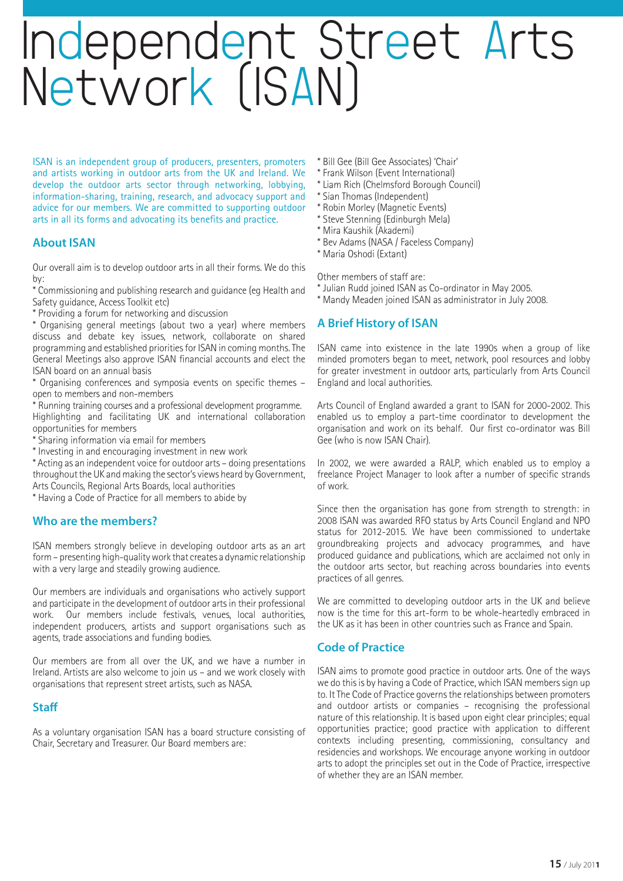### Independent Street Arts Network (ISAN)

ISAN is an independent group of producers, presenters, promoters and artists working in outdoor arts from the UK and Ireland. We develop the outdoor arts sector through networking, lobbying, information-sharing, training, research, and advocacy support and advice for our members. We are committed to supporting outdoor arts in all its forms and advocating its benefits and practice.

#### **About ISAN**

Our overall aim is to develop outdoor arts in all their forms. We do this by:

\* Commissioning and publishing research and guidance (eg Health and Safety guidance, Access Toolkit etc)

\* Providing a forum for networking and discussion

\* Organising general meetings (about two a year) where members discuss and debate key issues, network, collaborate on shared programming and established priorities for ISAN in coming months.The General Meetings also approve ISAN financial accounts and elect the ISAN board on an annual basis

\* Organising conferences and symposia events on specific themes – open to members and non-members

\* Running training courses and a professional development programme. Highlighting and facilitating UK and international collaboration opportunities for members

- \* Sharing information via email for members
- \* Investing in and encouraging investment in new work

\* Acting as an independent voice for outdoor arts – doing presentations throughout the UK and making the sector's views heard by Government, Arts Councils, Regional Arts Boards, local authorities

\* Having a Code of Practice for all members to abide by

#### **Who are the members?**

ISAN members strongly believe in developing outdoor arts as an art form – presenting high-quality work that creates a dynamic relationship with a very large and steadily growing audience.

Our members are individuals and organisations who actively support and participate in the development of outdoor arts in their professional work. Our members include festivals, venues, local authorities, independent producers, artists and support organisations such as agents, trade associations and funding bodies.

Our members are from all over the UK, and we have a number in Ireland. Artists are also welcome to join us – and we work closely with organisations that represent street artists, such as NASA.

#### **Staff**

As a voluntary organisation ISAN has a board structure consisting of Chair, Secretary and Treasurer. Our Board members are:

- \* Bill Gee (Bill Gee Associates) 'Chair'
- \* Frank Wilson (Event International)
- \* Liam Rich (Chelmsford Borough Council)
- \* Sian Thomas (Independent)
- \* Robin Morley (Magnetic Events)
- \* Steve Stenning (Edinburgh Mela)
- \* Mira Kaushik (Akademi)
- \* Bev Adams (NASA / Faceless Company)

\* Maria Oshodi (Extant)

Other members of staff are:

- \* Julian Rudd joined ISAN as Co-ordinator in May 2005.
- \* Mandy Meaden joined ISAN as administrator in July 2008.

#### **A Brief History of ISAN**

ISAN came into existence in the late 1990s when a group of like minded promoters began to meet, network, pool resources and lobby for greater investment in outdoor arts, particularly from Arts Council England and local authorities.

Arts Council of England awarded a grant to ISAN for 2000-2002. This enabled us to employ a part-time coordinator to development the organisation and work on its behalf. Our first co-ordinator was Bill Gee (who is now ISAN Chair).

In 2002, we were awarded a RALP, which enabled us to employ a freelance Project Manager to look after a number of specific strands of work.

Since then the organisation has gone from strength to strength: in 2008 ISAN was awarded RFO status by Arts Council England and NPO status for 2012-2015. We have been commissioned to undertake groundbreaking projects and advocacy programmes, and have produced guidance and publications, which are acclaimed not only in the outdoor arts sector, but reaching across boundaries into events practices of all genres.

We are committed to developing outdoor arts in the UK and believe now is the time for this art-form to be whole-heartedly embraced in the UK as it has been in other countries such as France and Spain.

#### **Code of Practice**

ISAN aims to promote good practice in outdoor arts. One of the ways we do this is by having a Code of Practice, which ISAN members sign up to. ItThe Code of Practice governs the relationships between promoters and outdoor artists or companies – recognising the professional nature of this relationship. It is based upon eight clear principles; equal opportunities practice; good practice with application to different contexts including presenting, commissioning, consultancy and residencies and workshops. We encourage anyone working in outdoor arts to adopt the principles set out in the Code of Practice, irrespective of whether they are an ISAN member.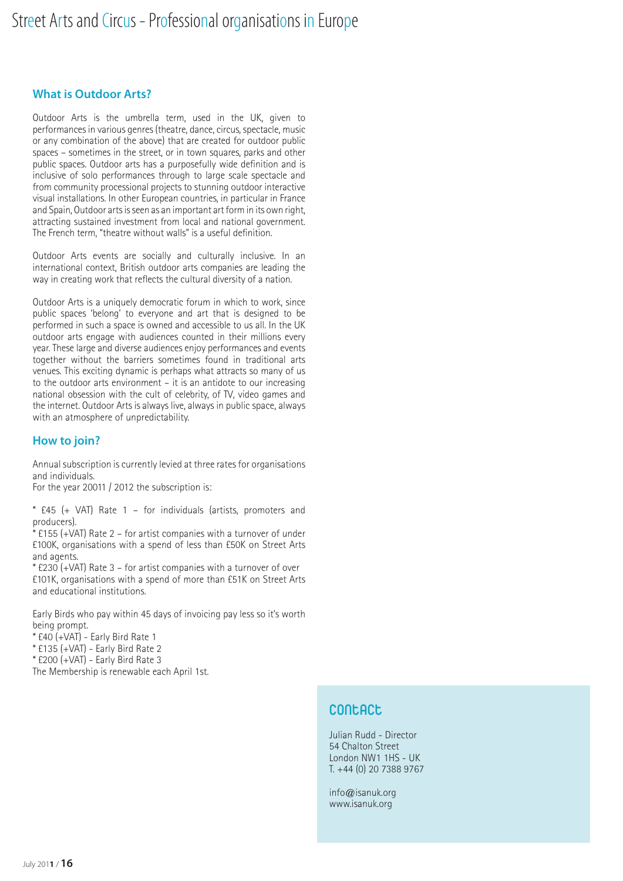#### **What is Outdoor Arts?**

Outdoor Arts is the umbrella term, used in the UK, given to performances in various genres (theatre, dance, circus, spectacle, music or any combination of the above) that are created for outdoor public spaces – sometimes in the street, or in town squares, parks and other public spaces. Outdoor arts has a purposefully wide definition and is inclusive of solo performances through to large scale spectacle and from community processional projects to stunning outdoor interactive visual installations. In other European countries, in particular in France and Spain, Outdoor arts is seen as an important art form in its own right, attracting sustained investment from local and national government. The French term, "theatre without walls" is a useful definition.

Outdoor Arts events are socially and culturally inclusive. In an international context, British outdoor arts companies are leading the way in creating work that reflects the cultural diversity of a nation.

Outdoor Arts is a uniquely democratic forum in which to work, since public spaces 'belong' to everyone and art that is designed to be performed in such a space is owned and accessible to us all. In the UK outdoor arts engage with audiences counted in their millions every year. These large and diverse audiences enjoy performances and events together without the barriers sometimes found in traditional arts venues. This exciting dynamic is perhaps what attracts so many of us to the outdoor arts environment – it is an antidote to our increasing national obsession with the cult of celebrity, of TV, video games and the internet. Outdoor Arts is always live, always in public space, always with an atmosphere of unpredictability.

#### **How to join?**

Annual subscription is currently levied at three rates for organisations and individuals.

For the year 20011 / 2012 the subscription is:

\* £45 (+ VAT) Rate 1 – for individuals (artists, promoters and producers).

\* £155 (+VAT) Rate 2 – for artist companies with a turnover of under £100K, organisations with a spend of less than £50K on Street Arts and agents.

\* £230 (+VAT) Rate 3 – for artist companies with a turnover of over £101K, organisations with a spend of more than £51K on Street Arts and educational institutions.

Early Birds who pay within 45 days of invoicing pay less so it's worth being prompt.

\* £40 (+VAT) - Early Bird Rate 1

\* £135 (+VAT) - Early Bird Rate 2

 $*$  £200 (+VAT) - Early Bird Rate 3

The Membership is renewable each April 1st.

#### **Contact**

Julian Rudd - Director 54 Chalton Street London NW1 1HS - UK T. +44 (0) 20 7388 9767

info@isanuk.org www.isanuk.org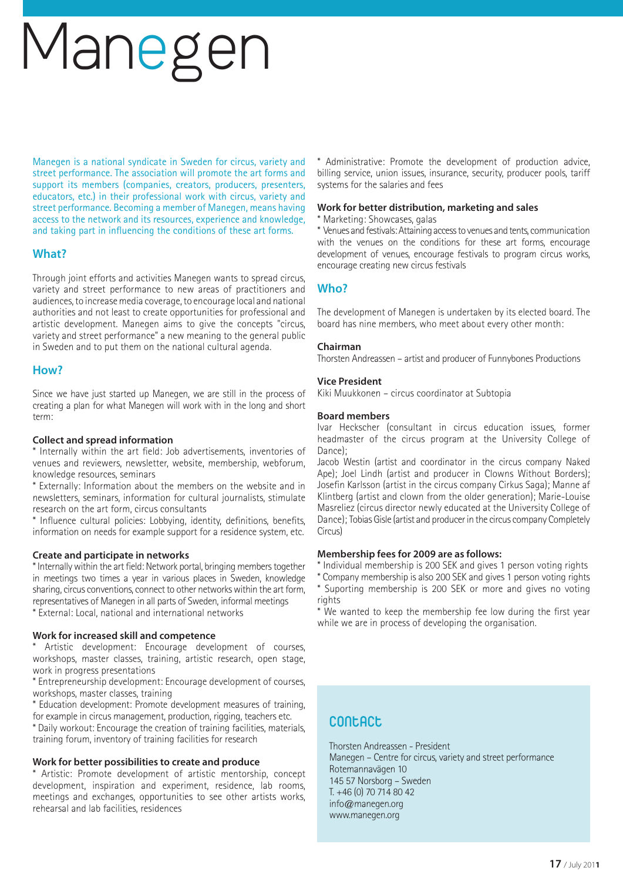# Manegen

Manegen is a national syndicate in Sweden for circus, variety and street performance. The association will promote the art forms and support its members (companies, creators, producers, presenters, educators, etc.) in their professional work with circus, variety and street performance. Becoming a member of Manegen, means having access to the network and its resources, experience and knowledge, and taking part in influencing the conditions of these art forms.

#### **What?**

Through joint efforts and activities Manegen wants to spread circus, variety and street performance to new areas of practitioners and audiences, to increase media coverage, to encourage local and national authorities and not least to create opportunities for professional and artistic development. Manegen aims to give the concepts "circus, variety and street performance" a new meaning to the general public in Sweden and to put them on the national cultural agenda.

#### **How?**

Since we have just started up Manegen, we are still in the process of creating a plan for what Manegen will work with in the long and short term:

#### **Collect and spread information**

\* Internally within the art field: Job advertisements, inventories of venues and reviewers, newsletter, website, membership, webforum, knowledge resources, seminars

\* Externally: Information about the members on the website and in newsletters, seminars, information for cultural journalists, stimulate research on the art form, circus consultants

\* Influence cultural policies: Lobbying, identity, definitions, benefits, information on needs for example support for a residence system, etc.

#### **Create and participate in networks**

\* Internally within the art field: Network portal, bringing members together in meetings two times a year in various places in Sweden, knowledge sharing, circus conventions, connect to other networks within the art form, representatives of Manegen in all parts of Sweden, informal meetings

\* External: Local, national and international networks

#### **Work for increased skill and competence**

Artistic development: Encourage development of courses, workshops, master classes, training, artistic research, open stage, work in progress presentations

\* Entrepreneurship development: Encourage development of courses, workshops, master classes, training

\* Education development: Promote development measures of training, for example in circus management, production, rigging, teachers etc.

\* Daily workout: Encourage the creation of training facilities, materials, training forum, inventory of training facilities for research

#### **Work for better possibilities to create and produce**

\* Artistic: Promote development of artistic mentorship, concept development, inspiration and experiment, residence, lab rooms, meetings and exchanges, opportunities to see other artists works, rehearsal and lab facilities, residences

\* Administrative: Promote the development of production advice, billing service, union issues, insurance, security, producer pools, tariff systems for the salaries and fees

#### **Work for better distribution, marketing and sales**

\* Marketing: Showcases, galas

\* Venues and festivals: Attaining access to venues and tents, communication with the venues on the conditions for these art forms, encourage development of venues, encourage festivals to program circus works, encourage creating new circus festivals

#### **Who?**

The development of Manegen is undertaken by its elected board. The board has nine members, who meet about every other month:

#### **Chairman**

Thorsten Andreassen – artist and producer of Funnybones Productions

#### **Vice President**

Kiki Muukkonen – circus coordinator at Subtopia

#### **Board members**

Ivar Heckscher (consultant in circus education issues, former headmaster of the circus program at the University College of Dance);

Jacob Westin (artist and coordinator in the circus company Naked Ape); Joel Lindh (artist and producer in Clowns Without Borders); Josefin Karlsson (artist in the circus company Cirkus Saga); Manne af Klintberg (artist and clown from the older generation); Marie-Louise Masreliez (circus director newly educated at the University College of Dance); Tobias Gisle (artist and producer in the circus company Completely Circus)

#### **Membership fees for 2009 are as follows:**

\* Individual membership is 200 SEK and gives 1 person voting rights

\* Company membership is also 200 SEK and gives 1 person voting rights \* Suporting membership is 200 SEK or more and gives no voting rights

\* We wanted to keep the membership fee low during the first year while we are in process of developing the organisation.

#### **Contact**

Thorsten Andreassen - President Manegen – Centre for circus, variety and street performance Rotemannavägen 10 145 57 Norsborg – Sweden T. +46 (0) 70 714 80 42 info@manegen.org www.manegen.org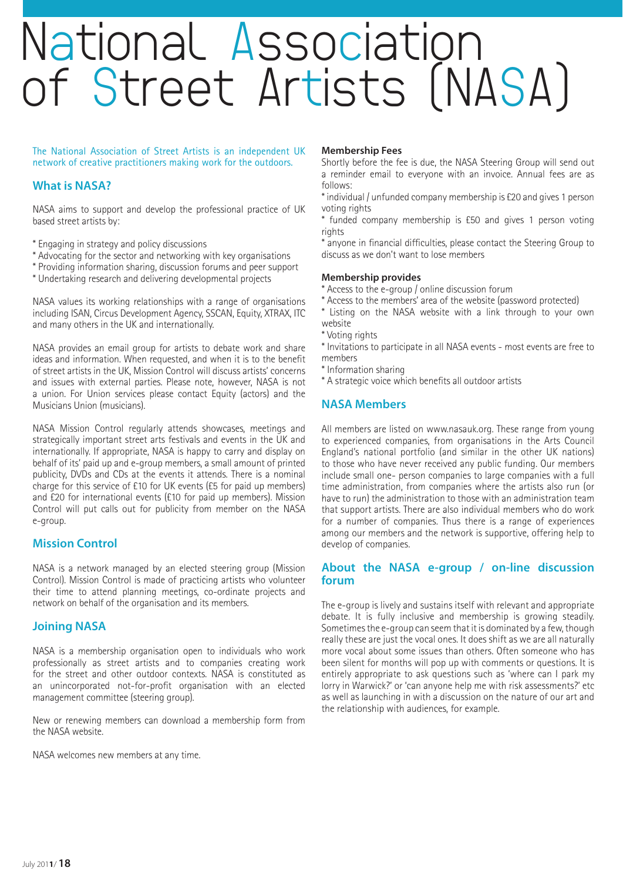### National Association of Street Artists (NASA)

The National Association of Street Artists is an independent UK network of creative practitioners making work for the outdoors.

#### **What is NASA?**

NASA aims to support and develop the professional practice of UK based street artists by:

- \* Engaging in strategy and policy discussions
- \* Advocating for the sector and networking with key organisations
- \* Providing information sharing, discussion forums and peer support
- \* Undertaking research and delivering developmental projects

NASA values its working relationships with a range of organisations including ISAN, Circus Development Agency, SSCAN, Equity, XTRAX, ITC and many others in the UK and internationally.

NASA provides an email group for artists to debate work and share ideas and information. When requested, and when it is to the benefit of street artists in the UK, Mission Control will discuss artists' concerns and issues with external parties. Please note, however, NASA is not a union. For Union services please contact Equity (actors) and the Musicians Union (musicians).

NASA Mission Control regularly attends showcases, meetings and strategically important street arts festivals and events in the UK and internationally. If appropriate, NASA is happy to carry and display on behalf of its' paid up and e-group members, a small amount of printed publicity, DVDs and CDs at the events it attends. There is a nominal charge for this service of £10 for UK events (£5 for paid up members) and £20 for international events (£10 for paid up members). Mission Control will put calls out for publicity from member on the NASA e-group.

#### **Mission Control**

NASA is a network managed by an elected steering group (Mission Control). Mission Control is made of practicing artists who volunteer their time to attend planning meetings, co-ordinate projects and network on behalf of the organisation and its members.

#### **Joining NASA**

NASA is a membership organisation open to individuals who work professionally as street artists and to companies creating work for the street and other outdoor contexts. NASA is constituted as an unincorporated not-for-profit organisation with an elected management committee (steering group).

New or renewing members can download a membership form from the NASA website.

NASA welcomes new members at any time.

#### **Membership Fees**

Shortly before the fee is due, the NASA Steering Group will send out a reminder email to everyone with an invoice. Annual fees are as follows:

\* individual / unfunded company membership is £20 and gives 1 person voting rights

\* funded company membership is £50 and gives 1 person voting rights

\* anyone in financial difficulties, please contact the Steering Group to discuss as we don't want to lose members

#### **Membership provides**

- \* Access to the e-group / online discussion forum
- \* Access to the members' area of the website (password protected)
- \* Listing on the NASA website with a link through to your own website
- \* Voting rights

\* Invitations to participate in all NASA events - most events are free to members

- \* Information sharing
- \* A strategic voice which benefits all outdoor artists

#### **NASA Members**

All members are listed on www.nasauk.org. These range from young to experienced companies, from organisations in the Arts Council England's national portfolio (and similar in the other UK nations) to those who have never received any public funding. Our members include small one- person companies to large companies with a full time administration, from companies where the artists also run (or have to run) the administration to those with an administration team that support artists. There are also individual members who do work for a number of companies. Thus there is a range of experiences among our members and the network is supportive, offering help to develop of companies.

#### **About the NASA e-group / on-line discussion forum**

The e-group is lively and sustains itself with relevant and appropriate debate. It is fully inclusive and membership is growing steadily. Sometimes the e-group can seem that it is dominated by a few, though really these are just the vocal ones. It does shift as we are all naturally more vocal about some issues than others. Often someone who has been silent for months will pop up with comments or questions. It is entirely appropriate to ask questions such as 'where can I park my lorry in Warwick?' or 'can anyone help me with risk assessments?' etc as well as launching in with a discussion on the nature of our art and the relationship with audiences, for example.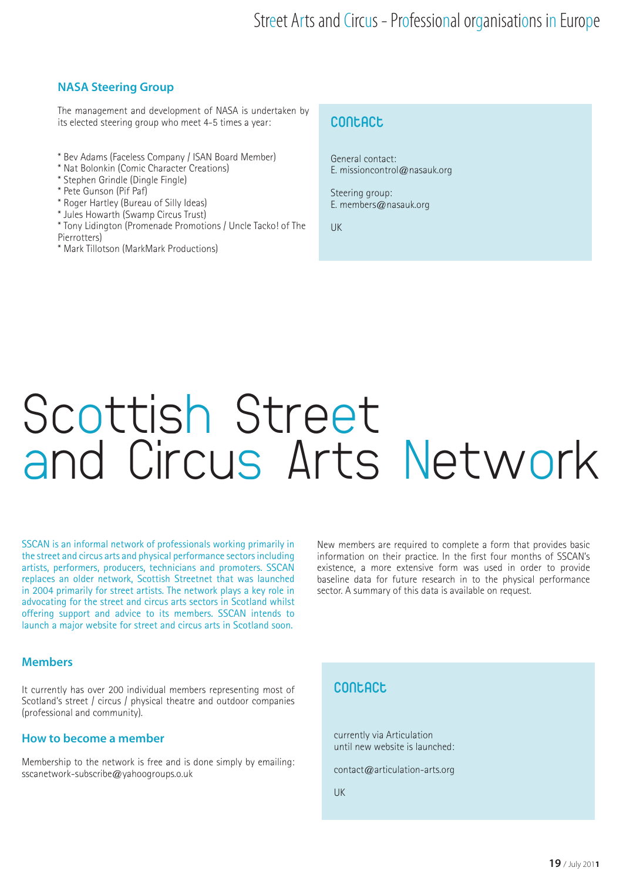#### **NASA Steering Group**

The management and development of NASA is undertaken by its elected steering group who meet 4-5 times a year:

- \* Bev Adams (Faceless Company / ISAN Board Member)
- \* Nat Bolonkin (Comic Character Creations)
- \* Stephen Grindle (Dingle Fingle)
- \* Pete Gunson (Pif Paf)
- \* Roger Hartley (Bureau of Silly Ideas)
- \* Jules Howarth (Swamp Circus Trust)
- \* Tony Lidington (Promenade Promotions / Uncle Tacko! of The Pierrotters)
- \* Mark Tillotson (MarkMark Productions)

#### **Contact**

General contact: E. missioncontrol@nasauk.org

Steering group: E. members@nasauk.org

UK

### Scottish Street and Circus Arts Network

SSCAN is an informal network of professionals working primarily in the street and circus arts and physical performance sectors including artists, performers, producers, technicians and promoters. SSCAN replaces an older network, Scottish Streetnet that was launched in 2004 primarily for street artists. The network plays a key role in advocating for the street and circus arts sectors in Scotland whilst offering support and advice to its members. SSCAN intends to launch a major website for street and circus arts in Scotland soon.

New members are required to complete a form that provides basic information on their practice. In the first four months of SSCAN's existence, a more extensive form was used in order to provide baseline data for future research in to the physical performance sector. A summary of this data is available on request.

#### **Members**

It currently has over 200 individual members representing most of Scotland's street / circus / physical theatre and outdoor companies (professional and community).

#### **How to become a member**

Membership to the network is free and is done simply by emailing: sscanetwork-subscribe@yahoogroups.o.uk

#### **Contact**

currently via Articulation until new website is launched:

contact@articulation-arts.org

UK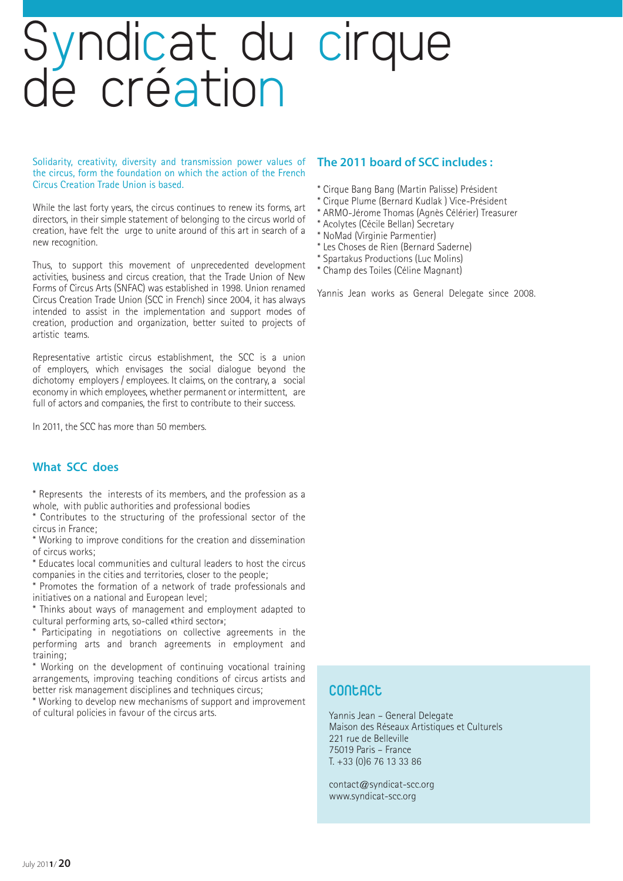# Syndicat du cirque<br>de création

Solidarity, creativity, diversity and transmission power values of the circus, form the foundation on which the action of the French Circus Creation Trade Union is based.

While the last forty years, the circus continues to renew its forms, art directors, in their simple statement of belonging to the circus world of creation, have felt the urge to unite around of this art in search of a new recognition.

Thus, to support this movement of unprecedented development activities, business and circus creation, that the Trade Union of New Forms of Circus Arts (SNFAC) was established in 1998. Union renamed Circus Creation Trade Union (SCC in French) since 2004, it has always intended to assist in the implementation and support modes of creation, production and organization, better suited to projects of artistic teams.

Representative artistic circus establishment, the SCC is a union of employers, which envisages the social dialogue beyond the dichotomy employers / employees. It claims, on the contrary, a social economy in which employees, whether permanent or intermittent, are full of actors and companies, the first to contribute to their success.

In 2011, the SCC has more than 50 members.

#### **What SCC does**

\* Represents the interests of its members, and the profession as a whole, with public authorities and professional bodies

Contributes to the structuring of the professional sector of the circus in France;

\* Working to improve conditions for the creation and dissemination of circus works;

\* Educates local communities and cultural leaders to host the circus companies in the cities and territories, closer to the people;

\* Promotes the formation of a network of trade professionals and initiatives on a national and European level;

\* Thinks about ways of management and employment adapted to cultural performing arts, so-called «third sector»;

\* Participating in negotiations on collective agreements in the performing arts and branch agreements in employment and training;

\* Working on the development of continuing vocational training arrangements, improving teaching conditions of circus artists and better risk management disciplines and techniques circus;

\* Working to develop new mechanisms of support and improvement of cultural policies in favour of the circus arts.

#### **The 2011 board of SCC includes :**

\* Cirque Bang Bang (Martin Palisse) Président

- \* Cirque Plume (Bernard Kudlak ) Vice-Président
- \* ARMO-Jérome Thomas (Agnès Célérier) Treasurer
- \* Acolytes (Cécile Bellan) Secretary
- \* NoMad (Virginie Parmentier)
- \* Les Choses de Rien (Bernard Saderne)
- \* Spartakus Productions (Luc Molins)
- \* Champ des Toiles (Céline Magnant)

Yannis Jean works as General Delegate since 2008.

#### **Contact**

Yannis Jean – General Delegate Maison des Réseaux Artistiques et Culturels 221 rue de Belleville 75019 Paris – France T. +33 (0)6 76 13 33 86

contact@syndicat-scc.org www.syndicat-scc.org